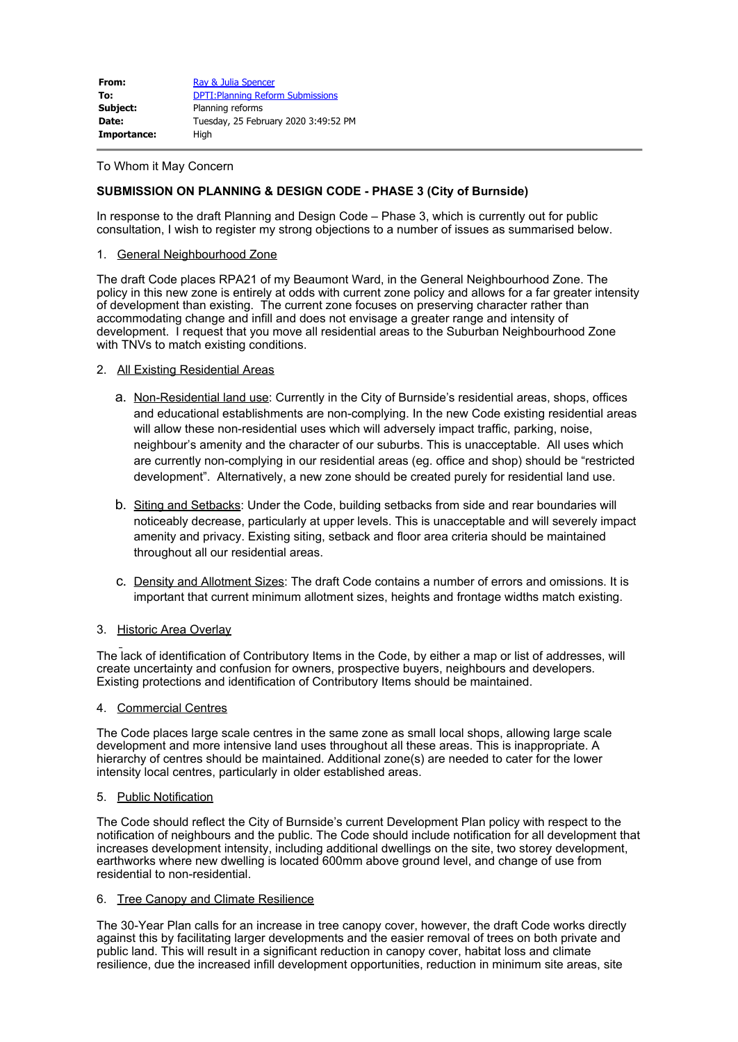| From:       | Ray & Julia Spencer                      |
|-------------|------------------------------------------|
| To:         | <b>DPTI: Planning Reform Submissions</b> |
| Subject:    | Planning reforms                         |
| Date:       | Tuesday, 25 February 2020 3:49:52 PM     |
| Importance: | High                                     |

#### To Whom it May Concern

# **SUBMISSION ON PLANNING & DESIGN CODE - PHASE 3 (City of Burnside)**

In response to the draft Planning and Design Code – Phase 3, which is currently out for public consultation, I wish to register my strong objections to a number of issues as summarised below.

# 1. General Neighbourhood Zone

The draft Code places RPA21 of my Beaumont Ward, in the General Neighbourhood Zone. The policy in this new zone is entirely at odds with current zone policy and allows for a far greater intensity of development than existing. The current zone focuses on preserving character rather than accommodating change and infill and does not envisage a greater range and intensity of development. I request that you move all residential areas to the Suburban Neighbourhood Zone with TNVs to match existing conditions.

#### 2. All Existing Residential Areas

- a. Non-Residential land use: Currently in the City of Burnside's residential areas, shops, offices and educational establishments are non-complying. In the new Code existing residential areas will allow these non-residential uses which will adversely impact traffic, parking, noise, neighbour's amenity and the character of our suburbs. This is unacceptable. All uses which are currently non-complying in our residential areas (eg. office and shop) should be "restricted development". Alternatively, a new zone should be created purely for residential land use.
- b. Siting and Setbacks: Under the Code, building setbacks from side and rear boundaries will noticeably decrease, particularly at upper levels. This is unacceptable and will severely impact amenity and privacy. Existing siting, setback and floor area criteria should be maintained throughout all our residential areas.
- c. Density and Allotment Sizes: The draft Code contains a number of errors and omissions. It is important that current minimum allotment sizes, heights and frontage widths match existing.

## 3. Historic Area Overlay

The lack of identification of Contributory Items in the Code, by either a map or list of addresses, will create uncertainty and confusion for owners, prospective buyers, neighbours and developers. Existing protections and identification of Contributory Items should be maintained.

#### 4. Commercial Centres

The Code places large scale centres in the same zone as small local shops, allowing large scale development and more intensive land uses throughout all these areas. This is inappropriate. A hierarchy of centres should be maintained. Additional zone(s) are needed to cater for the lower intensity local centres, particularly in older established areas.

## 5. Public Notification

The Code should reflect the City of Burnside's current Development Plan policy with respect to the notification of neighbours and the public. The Code should include notification for all development that increases development intensity, including additional dwellings on the site, two storey development, earthworks where new dwelling is located 600mm above ground level, and change of use from residential to non-residential.

## 6. Tree Canopy and Climate Resilience

The 30-Year Plan calls for an increase in tree canopy cover, however, the draft Code works directly against this by facilitating larger developments and the easier removal of trees on both private and public land. This will result in a significant reduction in canopy cover, habitat loss and climate resilience, due the increased infill development opportunities, reduction in minimum site areas, site